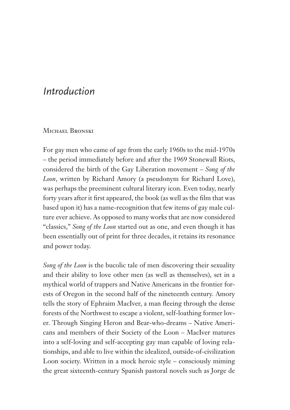# *Introduction*

#### Michael Bronski

For gay men who came of age from the early 1960s to the mid-1970s – the period immediately before and after the 1969 Stonewall Riots, considered the birth of the Gay Liberation movement – *Song of the Loon*, written by Richard Amory (a pseudonym for Richard Love), was perhaps the preeminent cultural literary icon. Even today, nearly forty years after it first appeared, the book (as well as the film that was based upon it) has a name-recognition that few items of gay male culture ever achieve. As opposed to many works that are now considered "classics," *Song of the Loon* started out as one, and even though it has been essentially out of print for three decades, it retains its resonance and power today.

*Song of the Loon* is the bucolic tale of men discovering their sexuality and their ability to love other men (as well as themselves), set in a mythical world of trappers and Native Americans in the frontier forests of Oregon in the second half of the nineteenth century. Amory tells the story of Ephraim MacIver, a man fleeing through the dense forests of the Northwest to escape a violent, self-loathing former lover. Through Singing Heron and Bear-who-dreams – Native Americans and members of their Society of the Loon – MacIver matures into a self-loving and self-accepting gay man capable of loving relationships, and able to live within the idealized, outside-of-civilization Loon society. Written in a mock heroic style – consciously miming the great sixteenth-century Spanish pastoral novels such as Jorge de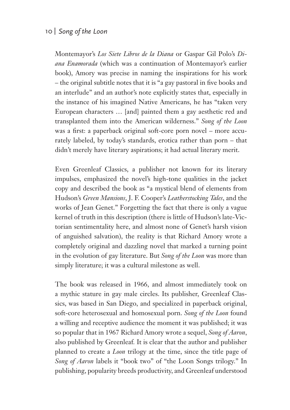Montemayor's *Los Siete Libros de la Diana* or Gaspar Gil Polo's *Diana Enamorada* (which was a continuation of Montemayor's earlier book), Amory was precise in naming the inspirations for his work – the original subtitle notes that it is "a gay pastoral in five books and an interlude" and an author's note explicitly states that, especially in the instance of his imagined Native Americans, he has "taken very European characters … [and] painted them a gay aesthetic red and transplanted them into the American wilderness." *Song of the Loon* was a first: a paperback original soft-core porn novel – more accurately labeled, by today's standards, erotica rather than porn – that didn't merely have literary aspirations; it had actual literary merit.

Even Greenleaf Classics, a publisher not known for its literary impulses, emphasized the novel's high-tone qualities in the jacket copy and described the book as "a mystical blend of elements from Hudson's *Green Mansions*, J. F. Cooper's *Leatherstocking Tales*, and the works of Jean Genet." Forgetting the fact that there is only a vague kernel of truth in this description (there is little of Hudson's late-Victorian sentimentality here, and almost none of Genet's harsh vision of anguished salvation), the reality is that Richard Amory wrote a completely original and dazzling novel that marked a turning point in the evolution of gay literature. But *Song of the Loon* was more than simply literature; it was a cultural milestone as well.

The book was released in 1966, and almost immediately took on a mythic stature in gay male circles. Its publisher, Greenleaf Classics, was based in San Diego, and specialized in paperback original, soft-core heterosexual and homosexual porn. *Song of the Loon* found a willing and receptive audience the moment it was published; it was so popular that in 1967 Richard Amory wrote a sequel, *Song of Aaron*, also published by Greenleaf*.* It is clear that the author and publisher planned to create a *Loon* trilogy at the time, since the title page of *Song of Aaron* labels it "book two" of "the Loon Songs trilogy." In publishing, popularity breeds productivity, and Greenleaf understood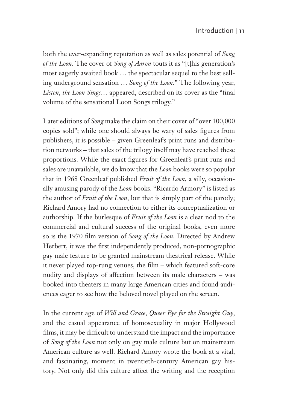both the ever-expanding reputation as well as sales potential of *Song of the Loon*. The cover of *Song of Aaron* touts it as "[t]his generation's most eagerly awaited book … the spectacular sequel to the best selling underground sensation … *Song of the Loon*." The following year, *Listen, the Loon Sings...* appeared, described on its cover as the "final volume of the sensational Loon Songs trilogy."

Later editions of *Song* make the claim on their cover of "over 100,000 copies sold"; while one should always be wary of sales figures from publishers, it is possible – given Greenleaf's print runs and distribution networks – that sales of the trilogy itself may have reached these proportions. While the exact figures for Greenleaf's print runs and sales are unavailable, we do know that the *Loon* books were so popular that in 1968 Greenleaf published *Fruit of the Loon*, a silly, occasionally amusing parody of the *Loon* books. "Ricardo Armory" is listed as the author of *Fruit of the Loon*, but that is simply part of the parody; Richard Amory had no connection to either its conceptualization or authorship. If the burlesque of *Fruit of the Loon* is a clear nod to the commercial and cultural success of the original books, even more so is the 1970 film version of *Song of the Loon*. Directed by Andrew Herbert, it was the first independently produced, non-pornographic gay male feature to be granted mainstream theatrical release. While it never played top-rung venues, the film – which featured soft-core nudity and displays of affection between its male characters – was booked into theaters in many large American cities and found audiences eager to see how the beloved novel played on the screen.

In the current age of *Will and Grace*, *Queer Eye for the Straight Guy*, and the casual appearance of homosexuality in major Hollywood films, it may be difficult to understand the impact and the importance of *Song of the Loon* not only on gay male culture but on mainstream American culture as well. Richard Amory wrote the book at a vital, and fascinating, moment in twentieth-century American gay history. Not only did this culture affect the writing and the reception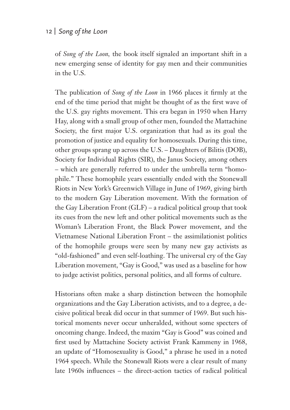of *Song of the Loon,* the book itself signaled an important shift in a new emerging sense of identity for gay men and their communities in the U.S.

The publication of *Song of the Loon* in 1966 places it firmly at the end of the time period that might be thought of as the first wave of the U.S. gay rights movement. This era began in 1950 when Harry Hay, along with a small group of other men, founded the Mattachine Society, the first major U.S. organization that had as its goal the promotion of justice and equality for homosexuals. During this time, other groups sprang up across the U.S. – Daughters of Bilitis (DOB), Society for Individual Rights (SIR), the Janus Society, among others – which are generally referred to under the umbrella term "homophile." These homophile years essentially ended with the Stonewall Riots in New York's Greenwich Village in June of 1969, giving birth to the modern Gay Liberation movement. With the formation of the Gay Liberation Front (GLF) – a radical political group that took its cues from the new left and other political movements such as the Woman's Liberation Front, the Black Power movement, and the Vietnamese National Liberation Front – the assimilationist politics of the homophile groups were seen by many new gay activists as "old-fashioned" and even self-loathing. The universal cry of the Gay Liberation movement, "Gay is Good," was used as a baseline for how to judge activist politics, personal politics, and all forms of culture.

Historians often make a sharp distinction between the homophile organizations and the Gay Liberation activists, and to a degree, a decisive political break did occur in that summer of 1969. But such historical moments never occur unheralded, without some specters of oncoming change. Indeed, the maxim "Gay is Good" was coined and first used by Mattachine Society activist Frank Kammeny in 1968, an update of "Homosexuality is Good," a phrase he used in a noted 1964 speech. While the Stonewall Riots were a clear result of many late 1960s influences – the direct-action tactics of radical political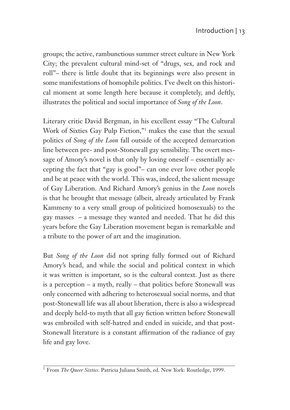groups; the active, rambunctious summer street culture in New York City; the prevalent cultural mind-set of "drugs, sex, and rock and roll"– there is little doubt that its beginnings were also present in some manifestations of homophile politics. I've dwelt on this historical moment at some length here because it completely, and deftly, illustrates the political and social importance of *Song of the Loon*.

Literary critic David Bergman, in his excellent essay "The Cultural Work of Sixties Gay Pulp Fiction,"1 makes the case that the sexual politics of *Song of the Loon* fall outside of the accepted demarcation line between pre- and post-Stonewall gay sensibility. The overt message of Amory's novel is that only by loving oneself – essentially accepting the fact that "gay is good"– can one ever love other people and be at peace with the world. This was, indeed, the salient message of Gay Liberation. And Richard Amory's genius in the *Loon* novels is that he brought that message (albeit, already articulated by Frank Kammeny to a very small group of politicized homosexuals) to the gay masses – a message they wanted and needed. That he did this years before the Gay Liberation movement began is remarkable and a tribute to the power of art and the imagination.

But *Song of the Loon* did not spring fully formed out of Richard Amory's head, and while the social and political context in which it was written is important, so is the cultural context. Just as there is a perception – a myth, really – that politics before Stonewall was only concerned with adhering to heterosexual social norms, and that post-Stonewall life was all about liberation, there is also a widespread and deeply held-to myth that all gay fiction written before Stonewall was embroiled with self-hatred and ended in suicide, and that post-Stonewall literature is a constant affirmation of the radiance of gay life and gay love.

<sup>&</sup>lt;sup>1</sup> From *The Queer Sixties*. Patricia Juliana Smith, ed. New York: Routledge, 1999.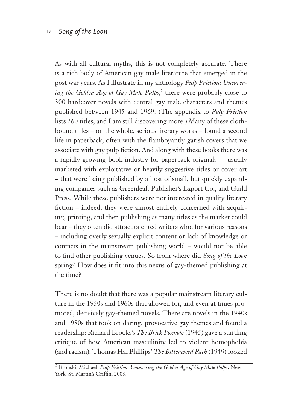As with all cultural myths, this is not completely accurate. There is a rich body of American gay male literature that emerged in the post war years. As I illustrate in my anthology *Pulp Friction: Uncovering the Golden Age of Gay Male Pulps*, 2 there were probably close to 300 hardcover novels with central gay male characters and themes published between 1945 and 1969. (The appendix to *Pulp Friction* lists 260 titles, and I am still discovering more.) Many of these clothbound titles – on the whole, serious literary works – found a second life in paperback, often with the flamboyantly garish covers that we associate with gay pulp fiction. And along with these books there was a rapidly growing book industry for paperback originals – usually marketed with exploitative or heavily suggestive titles or cover art – that were being published by a host of small, but quickly expanding companies such as Greenleaf, Publisher's Export Co., and Guild Press. While these publishers were not interested in quality literary fiction – indeed, they were almost entirely concerned with acquiring, printing, and then publishing as many titles as the market could bear – they often did attract talented writers who, for various reasons – including overly sexually explicit content or lack of knowledge or contacts in the mainstream publishing world – would not be able to find other publishing venues. So from where did Song of the Loon spring? How does it fit into this nexus of gay-themed publishing at the time?

There is no doubt that there was a popular mainstream literary culture in the 1950s and 1960s that allowed for, and even at times promoted, decisively gay-themed novels. There are novels in the 1940s and 1950s that took on daring, provocative gay themes and found a readership: Richard Brooks's *The Brick Foxhole* (1945) gave a startling critique of how American masculinity led to violent homophobia (and racism); Thomas Hal Phillips' *The Bitterweed Path* (1949) looked

<sup>2</sup> Bronski, Michael. *Pulp Friction: Uncovering the Golden Age of Gay Male Pulps*. New York: St. Martin's Griffin, 2003.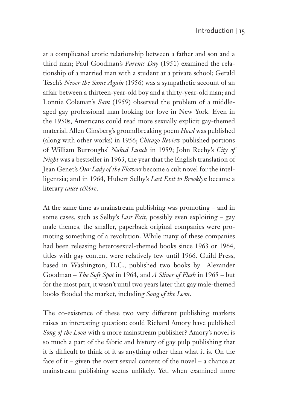at a complicated erotic relationship between a father and son and a third man; Paul Goodman's *Parents Day* (1951) examined the relationship of a married man with a student at a private school; Gerald Tesch's *Never the Same Again* (1956) was a sympathetic account of an affair between a thirteen-year-old boy and a thirty-year-old man; and Lonnie Coleman's *Sam* (1959) observed the problem of a middleaged gay professional man looking for love in New York. Even in the 1950s, Americans could read more sexually explicit gay-themed material. Allen Ginsberg's groundbreaking poem *Howl* was published (along with other works) in 1956; *Chicago Review* published portions of William Burroughs' *Naked Lunch* in 1959; John Rechy's *City of Night* was a bestseller in 1963, the year that the English translation of Jean Genet's *Our Lady of the Flowers* become a cult novel for the intelligentsia; and in 1964, Hubert Selby's *Last Exit to Brooklyn* became a literary *cause célèbre*.

At the same time as mainstream publishing was promoting – and in some cases, such as Selby's *Last Exit*, possibly even exploiting – gay male themes, the smaller, paperback original companies were promoting something of a revolution. While many of these companies had been releasing heterosexual-themed books since 1963 or 1964, titles with gay content were relatively few until 1966. Guild Press, based in Washington, D.C., published two books by Alexander Goodman – *The Soft Spot* in 1964, and *A Sliver of Flesh* in 1965 – but for the most part, it wasn't until two years later that gay male-themed books fl ooded the market, including *Song of the Loon*.

The co-existence of these two very different publishing markets raises an interesting question: could Richard Amory have published *Song of the Loon* with a more mainstream publisher? Amory's novel is so much a part of the fabric and history of gay pulp publishing that it is difficult to think of it as anything other than what it is. On the face of it – given the overt sexual content of the novel – a chance at mainstream publishing seems unlikely. Yet, when examined more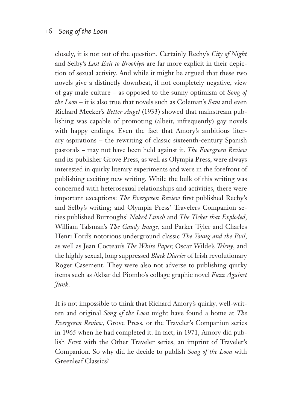closely, it is not out of the question. Certainly Rechy's *City of Night* and Selby's *Last Exit to Brooklyn* are far more explicit in their depiction of sexual activity. And while it might be argued that these two novels give a distinctly downbeat, if not completely negative, view of gay male culture – as opposed to the sunny optimism of *Song of the Loon* – it is also true that novels such as Coleman's *Sam* and even Richard Meeker's *Better Angel* (1933) showed that mainstream publishing was capable of promoting (albeit, infrequently) gay novels with happy endings. Even the fact that Amory's ambitious literary aspirations – the rewriting of classic sixteenth-century Spanish pastorals – may not have been held against it. *The Evergreen Review* and its publisher Grove Press, as well as Olympia Press, were always interested in quirky literary experiments and were in the forefront of publishing exciting new writing. While the bulk of this writing was concerned with heterosexual relationships and activities, there were important exceptions: *The Evergreen Review* first published Rechy's and Selby's writing; and Olympia Press' Travelers Companion series published Burroughs' *Naked Lunch* and *The Ticket that Exploded*, William Talsman's *The Gaudy Image*, and Parker Tyler and Charles Henri Ford's notorious underground classic *The Young and the Evil*, as well as Jean Cocteau's *The White Paper,* Oscar Wilde's *Teleny*, and the highly sexual, long suppressed *Black Diaries* of Irish revolutionary Roger Casement. They were also not adverse to publishing quirky items such as Akbar del Piombo's collage graphic novel *Fuzz Against Junk*.

It is not impossible to think that Richard Amory's quirky, well-written and original *Song of the Loon* might have found a home at *The Evergreen Review*, Grove Press, or the Traveler's Companion series in 1965 when he had completed it. In fact, in 1971, Amory did publish *Frost* with the Other Traveler series, an imprint of Traveler's Companion. So why did he decide to publish *Song of the Loon* with Greenleaf Classics?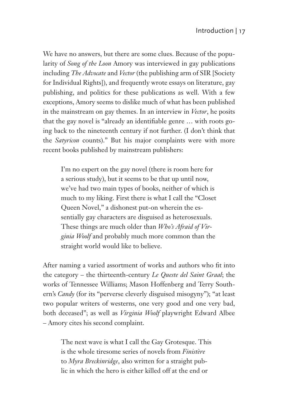We have no answers, but there are some clues. Because of the popularity of *Song of the Loon* Amory was interviewed in gay publications including *The Advocate* and *Vector* (the publishing arm of SIR [Society for Individual Rights]), and frequently wrote essays on literature, gay publishing, and politics for these publications as well. With a few exceptions, Amory seems to dislike much of what has been published in the mainstream on gay themes. In an interview in *Vector*, he posits that the gay novel is "already an identifiable genre ... with roots going back to the nineteenth century if not further. (I don't think that the *Satyricon* counts)." But his major complaints were with more recent books published by mainstream publishers:

I'm no expert on the gay novel (there is room here for a serious study), but it seems to be that up until now, we've had two main types of books, neither of which is much to my liking. First there is what I call the "Closet Queen Novel," a dishonest put-on wherein the essentially gay characters are disguised as heterosexuals. These things are much older than *Who's Afraid of Virginia Woolf* and probably much more common than the straight world would like to believe.

After naming a varied assortment of works and authors who fit into the category – the thirteenth-century *Le Queste del Saint Graal*; the works of Tennessee Williams; Mason Hoffenberg and Terry Southern's *Candy* (for its "perverse cleverly disguised misogyny"); "at least two popular writers of westerns, one very good and one very bad, both deceased"; as well as *Virginia Woolf* playwright Edward Albee – Amory cites his second complaint.

The next wave is what I call the Gay Grotesque. This is the whole tiresome series of novels from *Finistère* to *Myra Breckinridge*, also written for a straight public in which the hero is either killed off at the end or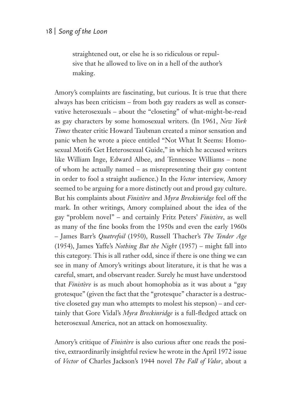straightened out, or else he is so ridiculous or repulsive that he allowed to live on in a hell of the author's making.

Amory's complaints are fascinating, but curious. It is true that there always has been criticism – from both gay readers as well as conservative heterosexuals – about the "closeting" of what-might-be-read as gay characters by some homosexual writers. (In 1961, *New York Times* theater critic Howard Taubman created a minor sensation and panic when he wrote a piece entitled "Not What It Seems: Homosexual Motifs Get Heterosexual Guide," in which he accused writers like William Inge, Edward Albee, and Tennessee Williams – none of whom he actually named – as misrepresenting their gay content in order to fool a straight audience.) In the *Vector* interview, Amory seemed to be arguing for a more distinctly out and proud gay culture. But his complaints about *Finistère* and *Myra Breckinridge* feel off the mark. In other writings, Amory complained about the idea of the gay "problem novel" – and certainly Fritz Peters' *Finistère*, as well as many of the fine books from the 1950s and even the early 1960s – James Barr's *Quatrefoil* (1950), Russell Thacher's *The Tender Age* (1954), James Yaffe's *Nothing But the Night* (1957) – might fall into this category. This is all rather odd, since if there is one thing we can see in many of Amory's writings about literature, it is that he was a careful, smart, and observant reader. Surely he must have understood that *Finistère* is as much about homophobia as it was about a "gay grotesque" (given the fact that the "grotesque" character is a destructive closeted gay man who attempts to molest his stepson) – and certainly that Gore Vidal's *Myra Breckinridge* is a full-fledged attack on heterosexual America, not an attack on homosexuality.

Amory's critique of *Finistère* is also curious after one reads the positive, extraordinarily insightful review he wrote in the April 1972 issue of *Vector* of Charles Jackson's 1944 novel *The Fall of Valor*, about a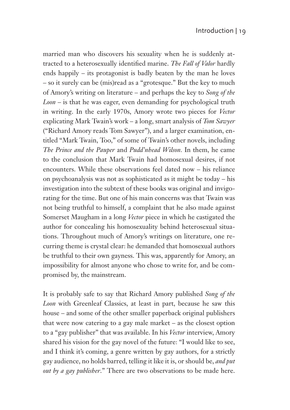married man who discovers his sexuality when he is suddenly attracted to a heterosexually identified marine. *The Fall of Valor* hardly ends happily – its protagonist is badly beaten by the man he loves – so it surely can be (mis)read as a "grotesque." But the key to much of Amory's writing on literature – and perhaps the key to *Song of the Loon* – is that he was eager, even demanding for psychological truth in writing. In the early 1970s, Amory wrote two pieces for *Vector*  explicating Mark Twain's work – a long, smart analysis of *Tom Sawyer* ("Richard Amory reads Tom Sawyer"), and a larger examination, entitled "Mark Twain, Too," of some of Twain's other novels, including *The Prince and the Pauper* and *Pudd'nhead Wilson.* In them, he came to the conclusion that Mark Twain had homosexual desires, if not encounters. While these observations feel dated now – his reliance on psychoanalysis was not as sophisticated as it might be today – his investigation into the subtext of these books was original and invigorating for the time. But one of his main concerns was that Twain was not being truthful to himself, a complaint that he also made against Somerset Maugham in a long *Vector* piece in which he castigated the author for concealing his homosexuality behind heterosexual situations. Throughout much of Amory's writings on literature, one recurring theme is crystal clear: he demanded that homosexual authors be truthful to their own gayness. This was, apparently for Amory, an impossibility for almost anyone who chose to write for, and be compromised by, the mainstream.

It is probably safe to say that Richard Amory published *Song of the Loon* with Greenleaf Classics, at least in part, because he saw this house – and some of the other smaller paperback original publishers that were now catering to a gay male market – as the closest option to a "gay publisher" that was available. In his *Vector* interview, Amory shared his vision for the gay novel of the future: "I would like to see, and I think it's coming, a genre written by gay authors, for a strictly gay audience, no holds barred, telling it like it is, or should be, *and put out by a gay publisher*." There are two observations to be made here.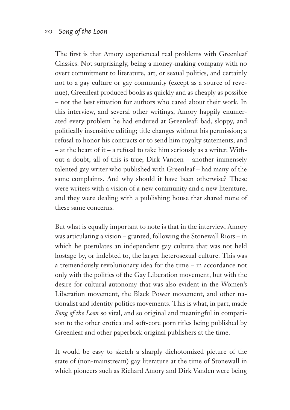The first is that Amory experienced real problems with Greenleaf Classics. Not surprisingly, being a money-making company with no overt commitment to literature, art, or sexual politics, and certainly not to a gay culture or gay community (except as a source of revenue), Greenleaf produced books as quickly and as cheaply as possible – not the best situation for authors who cared about their work. In this interview, and several other writings, Amory happily enumerated every problem he had endured at Greenleaf: bad, sloppy, and politically insensitive editing; title changes without his permission; a refusal to honor his contracts or to send him royalty statements; and – at the heart of it – a refusal to take him seriously as a writer. Without a doubt, all of this is true; Dirk Vanden – another immensely talented gay writer who published with Greenleaf – had many of the same complaints. And why should it have been otherwise? These were writers with a vision of a new community and a new literature, and they were dealing with a publishing house that shared none of these same concerns.

But what is equally important to note is that in the interview, Amory was articulating a vision – granted, following the Stonewall Riots – in which he postulates an independent gay culture that was not held hostage by, or indebted to, the larger heterosexual culture. This was a tremendously revolutionary idea for the time – in accordance not only with the politics of the Gay Liberation movement, but with the desire for cultural autonomy that was also evident in the Women's Liberation movement, the Black Power movement, and other nationalist and identity politics movements. This is what, in part, made *Song of the Loon* so vital, and so original and meaningful in comparison to the other erotica and soft-core porn titles being published by Greenleaf and other paperback original publishers at the time.

It would be easy to sketch a sharply dichotomized picture of the state of (non-mainstream) gay literature at the time of Stonewall in which pioneers such as Richard Amory and Dirk Vanden were being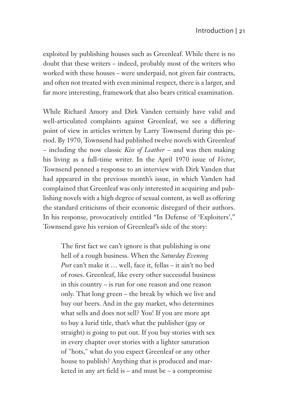exploited by publishing houses such as Greenleaf. While there is no doubt that these writers – indeed, probably most of the writers who worked with these houses – were underpaid, not given fair contracts, and often not treated with even minimal respect, there is a larger, and far more interesting, framework that also bears critical examination.

While Richard Amory and Dirk Vanden certainly have valid and well-articulated complaints against Greenleaf, we see a differing point of view in articles written by Larry Townsend during this period. By 1970, Townsend had published twelve novels with Greenleaf – including the now classic *Kiss of Leather* – and was then making his living as a full-time writer. In the April 1970 issue of *Vector*, Townsend penned a response to an interview with Dirk Vanden that had appeared in the previous month's issue, in which Vanden had complained that Greenleaf was only interested in acquiring and publishing novels with a high degree of sexual content, as well as offering the standard criticisms of their economic disregard of their authors. In his response, provocatively entitled "In Defense of 'Exploiters'," Townsend gave his version of Greenleaf's side of the story:

The first fact we can't ignore is that publishing is one hell of a rough business. When the *Saturday Evening Post* can't make it … well, face it, fellas – it ain't no bed of roses. Greenleaf, like every other successful business in this country – is run for one reason and one reason only. That long green – the break by which we live and buy our beers. And in the gay market, who determines what sells and does not sell? You! If you are more apt to buy a lurid title, that's what the publisher (gay or straight) is going to put out. If you buy stories with sex in every chapter over stories with a lighter saturation of "hots," what do you expect Greenleaf or any other house to publish? Anything that is produced and marketed in any art field is – and must be – a compromise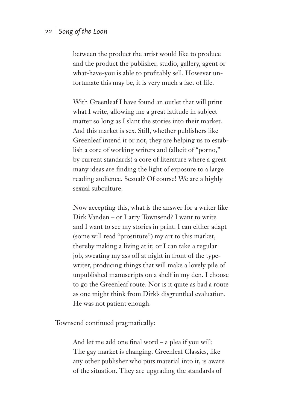between the product the artist would like to produce and the product the publisher, studio, gallery, agent or what-have-you is able to profitably sell. However unfortunate this may be, it is very much a fact of life.

With Greenleaf I have found an outlet that will print what I write, allowing me a great latitude in subject matter so long as I slant the stories into their market. And this market is sex. Still, whether publishers like Greenleaf intend it or not, they are helping us to establish a core of working writers and (albeit of "porno," by current standards) a core of literature where a great many ideas are finding the light of exposure to a large reading audience. Sexual? Of course! We are a highly sexual subculture.

Now accepting this, what is the answer for a writer like Dirk Vanden – or Larry Townsend? I want to write and I want to see my stories in print. I can either adapt (some will read "prostitute") my art to this market, thereby making a living at it; or I can take a regular job, sweating my ass off at night in front of the typewriter, producing things that will make a lovely pile of unpublished manuscripts on a shelf in my den. I choose to go the Greenleaf route. Nor is it quite as bad a route as one might think from Dirk's disgruntled evaluation. He was not patient enough.

Townsend continued pragmatically:

And let me add one final word  $-$  a plea if you will: The gay market is changing. Greenleaf Classics, like any other publisher who puts material into it, is aware of the situation. They are upgrading the standards of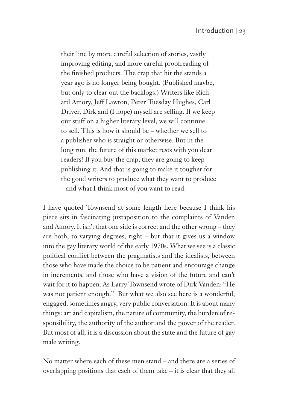their line by more careful selection of stories, vastly improving editing, and more careful proofreading of the finished products. The crap that hit the stands a year ago is no longer being bought. (Published maybe, but only to clear out the backlogs.) Writers like Richard Amory, Jeff Lawton, Peter Tuesday Hughes, Carl Driver, Dirk and (I hope) myself are selling. If we keep our stuff on a higher literary level, we will continue to sell. This is how it should be – whether we sell to a publisher who is straight or otherwise. But in the long run, the future of this market rests with you dear readers! If you buy the crap, they are going to keep publishing it. And that is going to make it tougher for the good writers to produce what they want to produce – and what I think most of you want to read.

I have quoted Townsend at some length here because I think his piece sits in fascinating juxtaposition to the complaints of Vanden and Amory. It isn't that one side is correct and the other wrong – they are both, to varying degrees, right – but that it gives us a window into the gay literary world of the early 1970s. What we see is a classic political conflict between the pragmatists and the idealists, between those who have made the choice to be patient and encourage change in increments, and those who have a vision of the future and can't wait for it to happen. As Larry Townsend wrote of Dirk Vanden: "He was not patient enough." But what we also see here is a wonderful, engaged, sometimes angry, very public conversation. It is about many things: art and capitalism, the nature of community, the burden of responsibility, the authority of the author and the power of the reader. But most of all, it is a discussion about the state and the future of gay male writing.

No matter where each of these men stand – and there are a series of overlapping positions that each of them take – it is clear that they all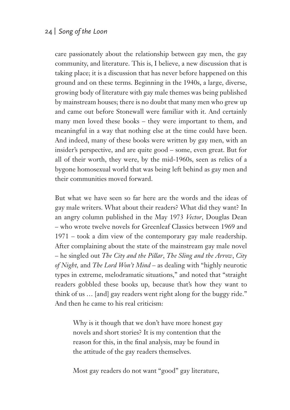care passionately about the relationship between gay men, the gay community, and literature. This is, I believe, a new discussion that is taking place; it is a discussion that has never before happened on this ground and on these terms. Beginning in the 1940s, a large, diverse, growing body of literature with gay male themes was being published by mainstream houses; there is no doubt that many men who grew up and came out before Stonewall were familiar with it. And certainly many men loved these books – they were important to them, and meaningful in a way that nothing else at the time could have been. And indeed, many of these books were written by gay men, with an insider's perspective, and are quite good – some, even great. But for all of their worth, they were, by the mid-1960s, seen as relics of a bygone homosexual world that was being left behind as gay men and their communities moved forward.

But what we have seen so far here are the words and the ideas of gay male writers. What about their readers? What did they want? In an angry column published in the May 1973 *Vector*, Douglas Dean – who wrote twelve novels for Greenleaf Classics between 1969 and 1971 – took a dim view of the contemporary gay male readership. After complaining about the state of the mainstream gay male novel – he singled out *The City and the Pillar*, *The Sling and the Arrow*, *City of Night,* and *The Lord Won't Mind* – as dealing with "highly neurotic types in extreme, melodramatic situations," and noted that "straight readers gobbled these books up, because that's how they want to think of us … [and] gay readers went right along for the buggy ride." And then he came to his real criticism:

Why is it though that we don't have more honest gay novels and short stories? It is my contention that the reason for this, in the final analysis, may be found in the attitude of the gay readers themselves.

Most gay readers do not want "good" gay literature,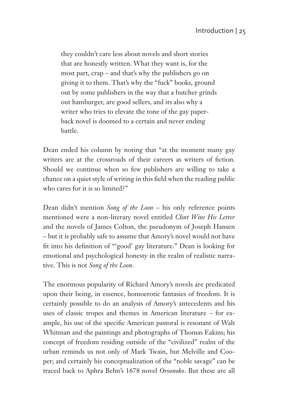they couldn't care less about novels and short stories that are honestly written. What they want is, for the most part, crap – and that's why the publishers go on giving it to them. That's why the "fuck" books, ground out by some publishers in the way that a butcher grinds out hamburger, are good sellers, and its also why a writer who tries to elevate the tone of the gay paperback novel is doomed to a certain and never ending battle.

Dean ended his column by noting that "at the moment many gay writers are at the crossroads of their careers as writers of fiction. Should we continue when so few publishers are willing to take a chance on a quiet style of writing in this field when the reading public who cares for it is so limited?"

Dean didn't mention *Song of the Loon* – his only reference points mentioned were a non-literary novel entitled *Clint Wins His Letter* and the novels of James Colton, the pseudonym of Joseph Hansen – but it is probably safe to assume that Amory's novel would not have fit into his definition of "'good' gay literature." Dean is looking for emotional and psychological honesty in the realm of realistic narrative. This is not *Song of the Loon*.

The enormous popularity of Richard Amory's novels are predicated upon their being, in essence, homoerotic fantasies of freedom. It is certainly possible to do an analysis of Amory's antecedents and his uses of classic tropes and themes in American literature – for example, his use of the specific American pastoral is resonant of Walt Whitman and the paintings and photographs of Thomas Eakins; his concept of freedom residing outside of the "civilized" realm of the urban reminds us not only of Mark Twain, but Melville and Cooper; and certainly his conceptualization of the "noble savage" can be traced back to Aphra Behn's 1678 novel *Oroonoko*. But these are all